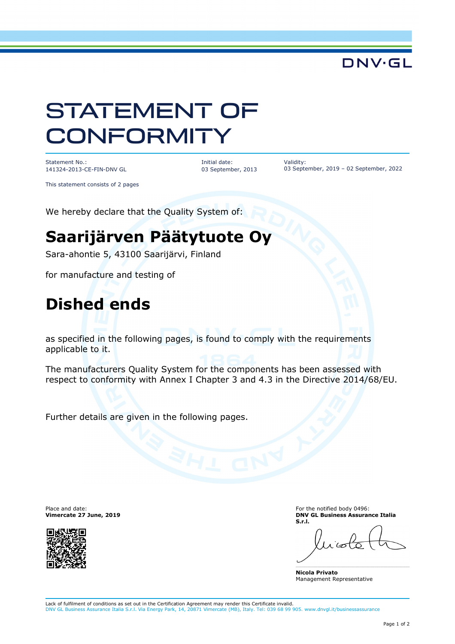### **DNV·GL**

# STATEMENT OF **CONFORMITY**

Statement No.: 141324-2013-CE-FIN-DNV GL Initial date: 03 September, 2013 Validity: 03 September, 2019 – 02 September, 2022

This statement consists of 2 pages

We hereby declare that the Quality System of:

## **Saarijärven Päätytuote Oy**

Sara-ahontie 5, 43100 Saarijärvi, Finland

for manufacture and testing of

### **Dished ends**

as specified in the following pages, is found to comply with the requirements applicable to it.

The manufacturers Quality System for the components has been assessed with respect to conformity with Annex I Chapter 3 and 4.3 in the Directive 2014/68/EU.

Further details are given in the following pages.

Place and date: **Vimercate 27 June, 2019**



For the notified body 0496: **DNV GL Business Assurance Italia S.r.l.** 

**Nicola Privato**  Management Representative

Lack of fulfilment of conditions as set out in the Certification Agreement may render this Certificate invalid. DNV GL Business Assurance Italia S.r.l. Via Energy Park, 14, 20871 Vimercate (MB), Italy. Tel: 039 68 99 905. www.dnvgl.it/businessassurance